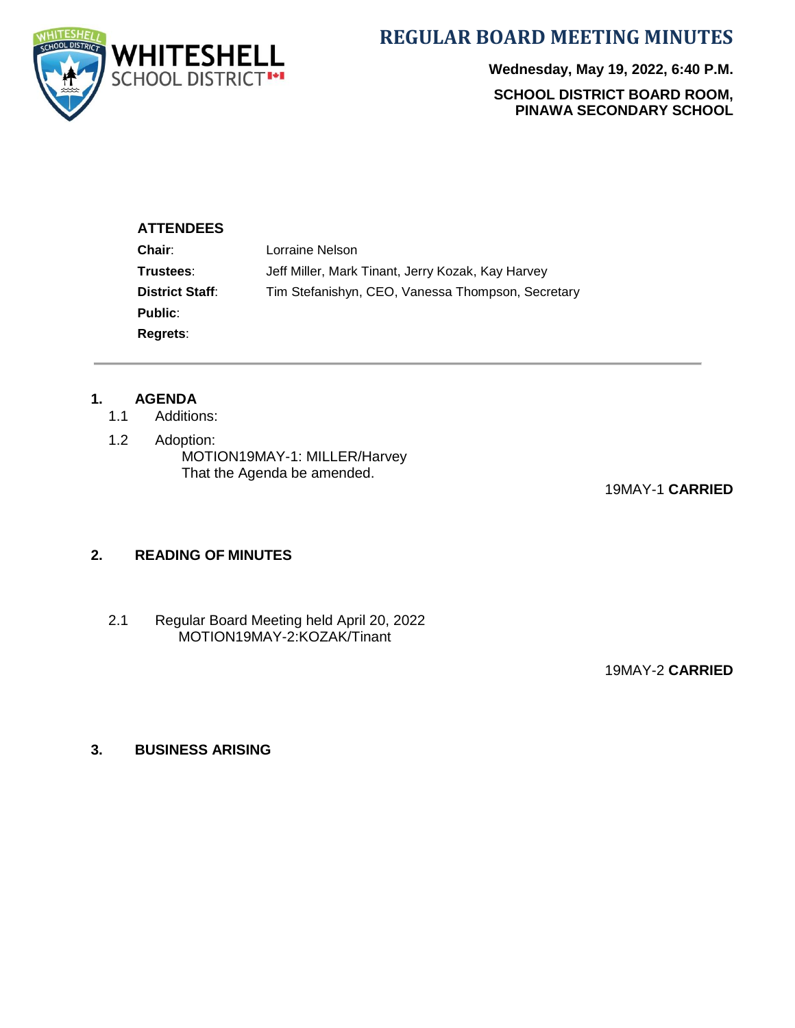

**REGULAR BOARD MEETING MINUTES**

**Wednesday, May 19, 2022, 6:40 P.M. SCHOOL DISTRICT BOARD ROOM, PINAWA SECONDARY SCHOOL**

#### **ATTENDEES**

| Jeff Miller, Mark Tinant, Jerry Kozak, Kay Harvey |  |  |
|---------------------------------------------------|--|--|
| Tim Stefanishyn, CEO, Vanessa Thompson, Secretary |  |  |
|                                                   |  |  |
|                                                   |  |  |
|                                                   |  |  |

# **1. AGENDA**

- Additions:
- 1.2 Adoption: MOTION19MAY-1: MILLER/Harvey That the Agenda be amended.

19MAY-1 **CARRIED**

#### **2. READING OF MINUTES**

2.1 Regular Board Meeting held April 20, 2022 MOTION19MAY-2:KOZAK/Tinant

19MAY-2 **CARRIED**

#### **3. BUSINESS ARISING**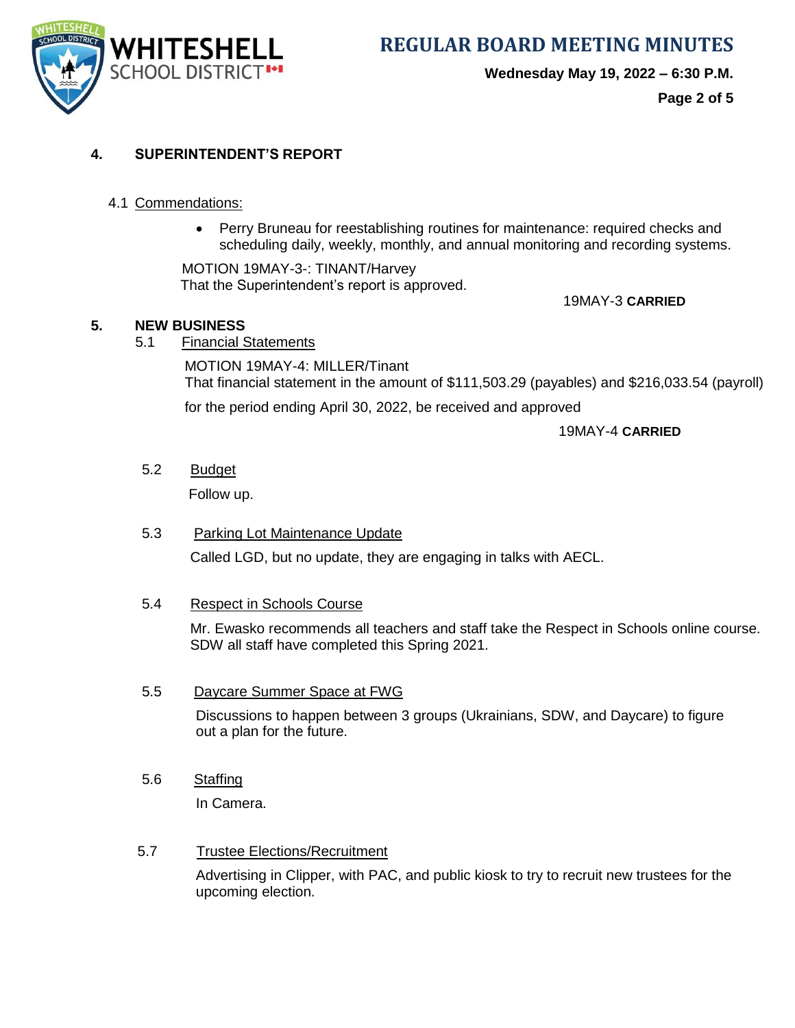

**WHITESHELL** REGULAR BOARD MEETING MINUTES

**Wednesday May 19, 2022 – 6:30 P.M.**

**Page 2 of 5**

# **4. SUPERINTENDENT'S REPORT**

#### 4.1 Commendations:

• Perry Bruneau for reestablishing routines for maintenance: required checks and scheduling daily, weekly, monthly, and annual monitoring and recording systems.

MOTION 19MAY-3-: TINANT/Harvey That the Superintendent's report is approved.

19MAY-3 **CARRIED**

### **5. NEW BUSINESS**

5.1 Financial Statements

MOTION 19MAY-4: MILLER/Tinant That financial statement in the amount of \$111,503.29 (payables) and \$216,033.54 (payroll) for the period ending April 30, 2022, be received and approved

19MAY-4 **CARRIED**

5.2 Budget

Follow up.

#### 5.3 Parking Lot Maintenance Update

Called LGD, but no update, they are engaging in talks with AECL.

#### 5.4 Respect in Schools Course

 Mr. Ewasko recommends all teachers and staff take the Respect in Schools online course. SDW all staff have completed this Spring 2021.

#### 5.5 Daycare Summer Space at FWG

Discussions to happen between 3 groups (Ukrainians, SDW, and Daycare) to figure out a plan for the future.

5.6 Staffing

In Camera.

#### 5.7 Trustee Elections/Recruitment

Advertising in Clipper, with PAC, and public kiosk to try to recruit new trustees for the upcoming election.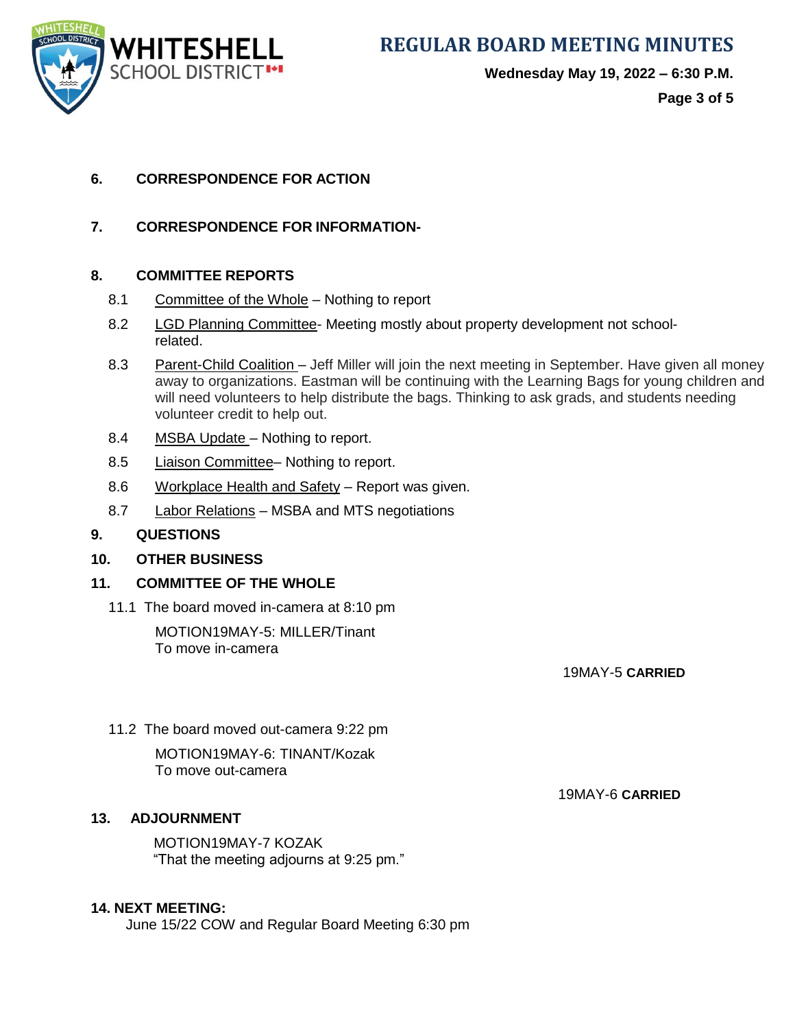**SCHOOL DISTRICT<sup>1+1</sup>** 

**WHITESHELL** REGULAR BOARD MEETING MINUTES

**Wednesday May 19, 2022 – 6:30 P.M.**

**Page 3 of 5**

# **6. CORRESPONDENCE FOR ACTION**

**7. CORRESPONDENCE FOR INFORMATION-**

# **8. COMMITTEE REPORTS**

- 8.1 Committee of the Whole Nothing to report
- 8.2 LGD Planning Committee- Meeting mostly about property development not schoolrelated.
- 8.3 Parent-Child Coalition Jeff Miller will join the next meeting in September. Have given all money away to organizations. Eastman will be continuing with the Learning Bags for young children and will need volunteers to help distribute the bags. Thinking to ask grads, and students needing volunteer credit to help out.
- 8.4 MSBA Update Nothing to report.
- 8.5 Liaison Committee– Nothing to report.
- 8.6 Workplace Health and Safety Report was given.
- 8.7 Labor Relations MSBA and MTS negotiations

#### **9. QUESTIONS**

# **10. OTHER BUSINESS**

# **11. COMMITTEE OF THE WHOLE**

11.1 The board moved in-camera at 8:10 pm

MOTION19MAY-5: MILLER/Tinant To move in-camera

19MAY-5 **CARRIED**

11.2 The board moved out-camera 9:22 pm MOTION19MAY-6: TINANT/Kozak To move out-camera

19MAY-6 **CARRIED**

# **13. ADJOURNMENT**

 MOTION19MAY-7 KOZAK "That the meeting adjourns at 9:25 pm."

### **14. NEXT MEETING:**

June 15/22 COW and Regular Board Meeting 6:30 pm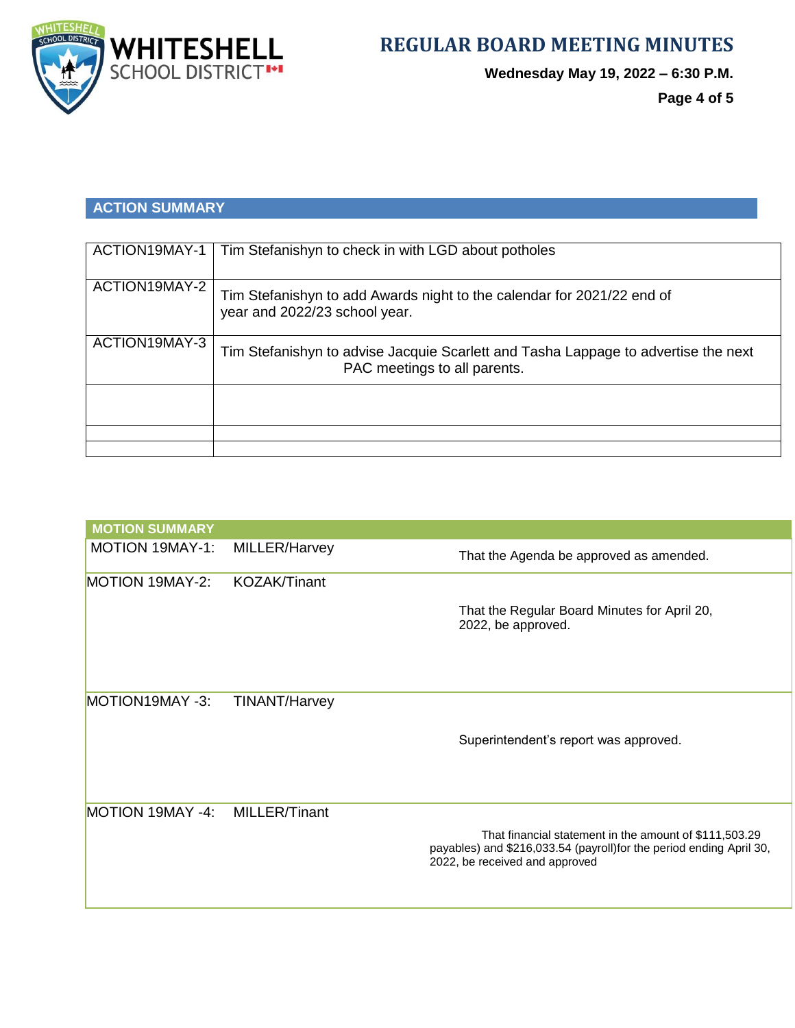

**Wednesday May 19, 2022 – 6:30 P.M.**

**Page 4 of 5**

# **ACTION SUMMARY**

| ACTION19MAY-1 | Tim Stefanishyn to check in with LGD about potholes                                                                |
|---------------|--------------------------------------------------------------------------------------------------------------------|
| ACTION19MAY-2 | Tim Stefanishyn to add Awards night to the calendar for 2021/22 end of<br>year and 2022/23 school year.            |
| ACTION19MAY-3 | Tim Stefanishyn to advise Jacquie Scarlett and Tasha Lappage to advertise the next<br>PAC meetings to all parents. |
|               |                                                                                                                    |
|               |                                                                                                                    |

| <b>MOTION SUMMARY</b>  |                      |                                                                                                                                                                 |
|------------------------|----------------------|-----------------------------------------------------------------------------------------------------------------------------------------------------------------|
| <b>MOTION 19MAY-1:</b> | MILLER/Harvey        | That the Agenda be approved as amended.                                                                                                                         |
| MOTION 19MAY-2:        | <b>KOZAK/Tinant</b>  |                                                                                                                                                                 |
|                        |                      | That the Regular Board Minutes for April 20,<br>2022, be approved.                                                                                              |
| MOTION19MAY -3:        | <b>TINANT/Harvey</b> |                                                                                                                                                                 |
|                        |                      | Superintendent's report was approved.                                                                                                                           |
| MOTION 19MAY -4:       | <b>MILLER/Tinant</b> | That financial statement in the amount of \$111,503.29<br>payables) and \$216,033.54 (payroll)for the period ending April 30,<br>2022, be received and approved |